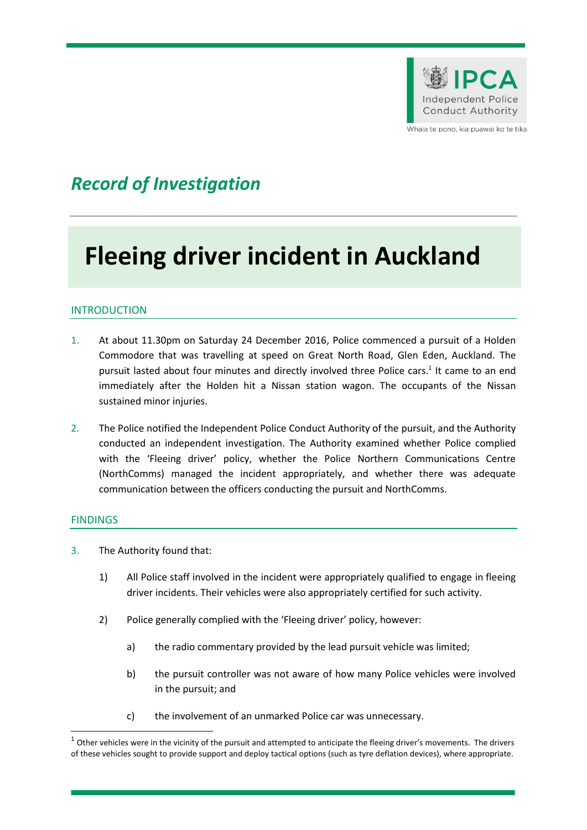

Whaia te pono, kia puawai ko te tika

## *Record of Investigation*

# **Fleeing driver incident in Auckland**

#### **INTRODUCTION**

- 1. At about 11.30pm on Saturday 24 December 2016, Police commenced a pursuit of a Holden Commodore that was travelling at speed on Great North Road, Glen Eden, Auckland. The pursuit lasted about four minutes and directly involved three Police cars.<sup>1</sup> It came to an end immediately after the Holden hit a Nissan station wagon. The occupants of the Nissan sustained minor injuries.
- 2. The Police notified the Independent Police Conduct Authority of the pursuit, and the Authority conducted an independent investigation. The Authority examined whether Police complied with the 'Fleeing driver' policy, whether the Police Northern Communications Centre (NorthComms) managed the incident appropriately, and whether there was adequate communication between the officers conducting the pursuit and NorthComms.

#### FINDINGS

**.** 

- 3. The Authority found that:
	- 1) All Police staff involved in the incident were appropriately qualified to engage in fleeing driver incidents. Their vehicles were also appropriately certified for such activity.
	- 2) Police generally complied with the 'Fleeing driver' policy, however:
		- a) the radio commentary provided by the lead pursuit vehicle was limited;
		- b) the pursuit controller was not aware of how many Police vehicles were involved in the pursuit; and
		- c) the involvement of an unmarked Police car was unnecessary.

 $^1$  Other vehicles were in the vicinity of the pursuit and attempted to anticipate the fleeing driver's movements. The drivers of these vehicles sought to provide support and deploy tactical options (such as tyre deflation devices), where appropriate.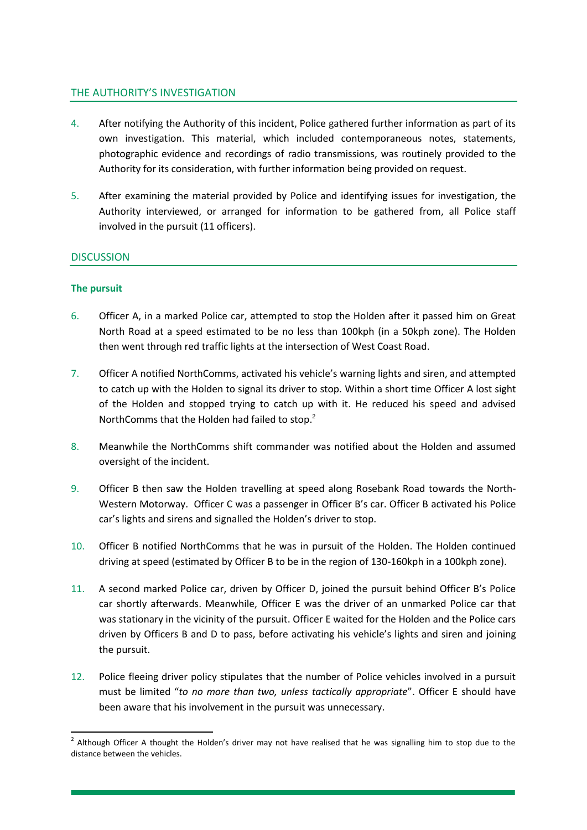#### THE AUTHORITY'S INVESTIGATION

- 4. After notifying the Authority of this incident, Police gathered further information as part of its own investigation. This material, which included contemporaneous notes, statements, photographic evidence and recordings of radio transmissions, was routinely provided to the Authority for its consideration, with further information being provided on request.
- 5. After examining the material provided by Police and identifying issues for investigation, the Authority interviewed, or arranged for information to be gathered from, all Police staff involved in the pursuit (11 officers).

#### **DISCUSSION**

#### **The pursuit**

- 6. Officer A, in a marked Police car, attempted to stop the Holden after it passed him on Great North Road at a speed estimated to be no less than 100kph (in a 50kph zone). The Holden then went through red traffic lights at the intersection of West Coast Road.
- 7. Officer A notified NorthComms, activated his vehicle's warning lights and siren, and attempted to catch up with the Holden to signal its driver to stop. Within a short time Officer A lost sight of the Holden and stopped trying to catch up with it. He reduced his speed and advised NorthComms that the Holden had failed to stop.<sup>2</sup>
- 8. Meanwhile the NorthComms shift commander was notified about the Holden and assumed oversight of the incident.
- 9. Officer B then saw the Holden travelling at speed along Rosebank Road towards the North-Western Motorway. Officer C was a passenger in Officer B's car. Officer B activated his Police car's lights and sirens and signalled the Holden's driver to stop.
- 10. Officer B notified NorthComms that he was in pursuit of the Holden. The Holden continued driving at speed (estimated by Officer B to be in the region of 130-160kph in a 100kph zone).
- 11. A second marked Police car, driven by Officer D, joined the pursuit behind Officer B's Police car shortly afterwards. Meanwhile, Officer E was the driver of an unmarked Police car that was stationary in the vicinity of the pursuit. Officer E waited for the Holden and the Police cars driven by Officers B and D to pass, before activating his vehicle's lights and siren and joining the pursuit.
- 12. Police fleeing driver policy stipulates that the number of Police vehicles involved in a pursuit must be limited "*to no more than two, unless tactically appropriate*". Officer E should have been aware that his involvement in the pursuit was unnecessary.

**<sup>.</sup>**  $2$  Although Officer A thought the Holden's driver may not have realised that he was signalling him to stop due to the distance between the vehicles.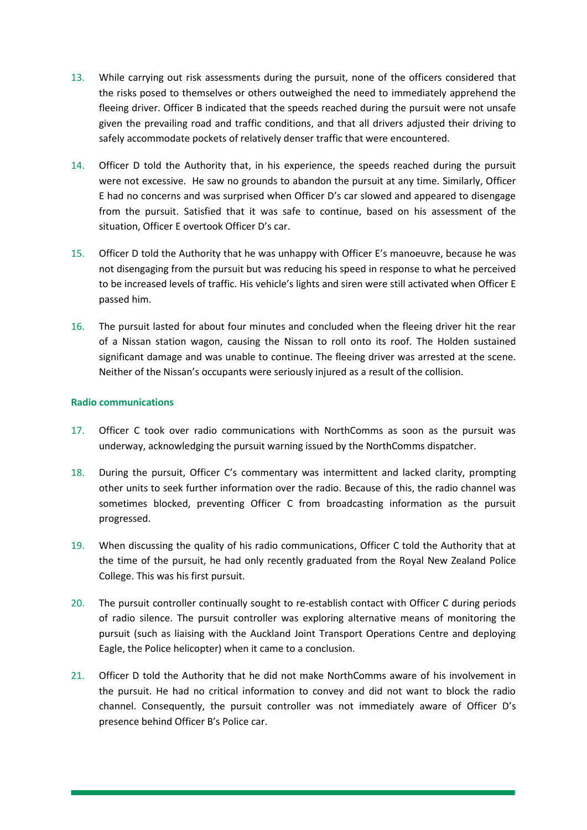- 13. While carrying out risk assessments during the pursuit, none of the officers considered that the risks posed to themselves or others outweighed the need to immediately apprehend the fleeing driver. Officer B indicated that the speeds reached during the pursuit were not unsafe given the prevailing road and traffic conditions, and that all drivers adjusted their driving to safely accommodate pockets of relatively denser traffic that were encountered.
- 14. Officer D told the Authority that, in his experience, the speeds reached during the pursuit were not excessive. He saw no grounds to abandon the pursuit at any time. Similarly, Officer E had no concerns and was surprised when Officer D's car slowed and appeared to disengage from the pursuit. Satisfied that it was safe to continue, based on his assessment of the situation, Officer E overtook Officer D's car.
- 15. Officer D told the Authority that he was unhappy with Officer E's manoeuvre, because he was not disengaging from the pursuit but was reducing his speed in response to what he perceived to be increased levels of traffic. His vehicle's lights and siren were still activated when Officer E passed him.
- 16. The pursuit lasted for about four minutes and concluded when the fleeing driver hit the rear of a Nissan station wagon, causing the Nissan to roll onto its roof. The Holden sustained significant damage and was unable to continue. The fleeing driver was arrested at the scene. Neither of the Nissan's occupants were seriously injured as a result of the collision.

#### **Radio communications**

- 17. Officer C took over radio communications with NorthComms as soon as the pursuit was underway, acknowledging the pursuit warning issued by the NorthComms dispatcher.
- 18. During the pursuit, Officer C's commentary was intermittent and lacked clarity, prompting other units to seek further information over the radio. Because of this, the radio channel was sometimes blocked, preventing Officer C from broadcasting information as the pursuit progressed.
- 19. When discussing the quality of his radio communications, Officer C told the Authority that at the time of the pursuit, he had only recently graduated from the Royal New Zealand Police College. This was his first pursuit.
- 20. The pursuit controller continually sought to re-establish contact with Officer C during periods of radio silence. The pursuit controller was exploring alternative means of monitoring the pursuit (such as liaising with the Auckland Joint Transport Operations Centre and deploying Eagle, the Police helicopter) when it came to a conclusion.
- 21. Officer D told the Authority that he did not make NorthComms aware of his involvement in the pursuit. He had no critical information to convey and did not want to block the radio channel. Consequently, the pursuit controller was not immediately aware of Officer D's presence behind Officer B's Police car.